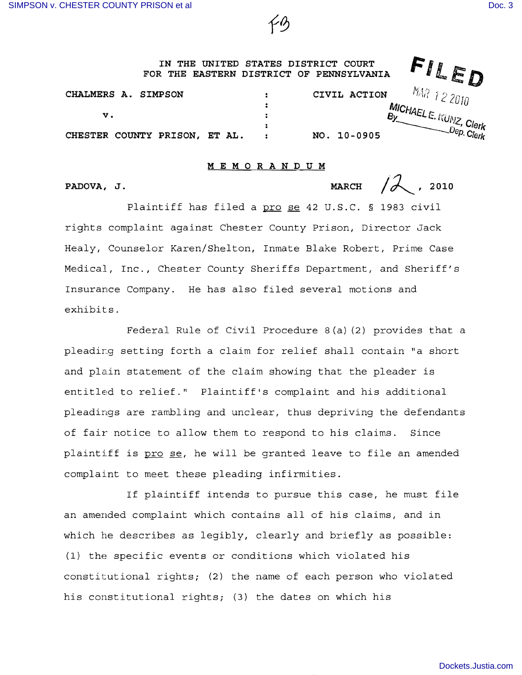

| FOR THE EASTERN DISTRICT OF PENNSYLVANIA | IN THE UNITED STATES DISTRICT COURT |              |                                                      |
|------------------------------------------|-------------------------------------|--------------|------------------------------------------------------|
| CHALMERS A. SIMPSON                      |                                     | CIVIL ACTION | $\mathit{MAP}^-$<br>122010                           |
| v.                                       |                                     |              | MICHAELE. KUNZ, Ulein<br>$B_V$ $U_{ep. \, U_{lerk}}$ |
| CHESTER COUNTY PRISON, ET AL.            |                                     | NO. 10-0905  |                                                      |

## **MEMORANDUM**

PADOVA,  $J.$  **MARCH**  $\sqrt{2}$ , 2010

Plaintiff has filed a pro se 42 U.S.C. § 1983 civil rights complaint against Chester County Prison, Director Jack Healy, Counselor Karen/Shelton, Inmate Blake Robert, Prime Case Medical, Inc., Chester County Sheriffs Department, and Sheriff's Insurance Company. He has also filed several motions and exhibits.

Federal Rule of Civil Procedure 8(a) (2) provides that a pleading setting forth a claim for relief shall contain "a short and plain statement of the claim showing that the pleader is entitled to relief." Plaintiff's complaint and his additional pleadings are rambling and unclear, thus depriving the defendants of fair notice to allow them to respond to his claims. Since plaintiff is pro se, he will be granted leave to file an amended complaint to meet these pleading infirmities.

If plaintiff intends to pursue this case, he must file an amended complaint which contains all of his claims, and in which he describes as legibly, clearly and briefly as possible: (1) the specific events or conditions which violated his constitutional rights; (2) the name of each person who violated his constitutional rights; (3) the dates on which his